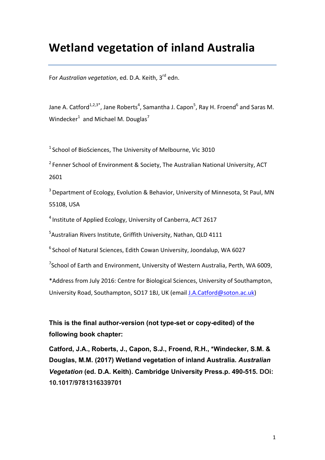# **Wetland vegetation of inland Australia**

For *Australian vegetation*, ed. D.A. Keith, 3<sup>rd</sup> edn.

Jane A. Catford<sup>1,2,3\*</sup>, Jane Roberts<sup>4</sup>, Samantha J. Capon<sup>5</sup>, Ray H. Froend<sup>6</sup> and Saras M. Windecker<sup>1</sup> and Michael M. Douglas<sup>7</sup>

 $1$  School of BioSciences, The University of Melbourne, Vic 3010

 $2$  Fenner School of Environment & Society, The Australian National University, ACT 2601

 $3$  Department of Ecology, Evolution & Behavior, University of Minnesota, St Paul, MN 55108, USA

 $4$  Institute of Applied Ecology, University of Canberra, ACT 2617

<sup>5</sup> Australian Rivers Institute, Griffith University, Nathan, QLD 4111

 $6$  School of Natural Sciences, Edith Cowan University, Joondalup, WA 6027

 $^7$ School of Earth and Environment, University of Western Australia, Perth, WA 6009,

\*Address from July 2016: Centre for Biological Sciences, University of Southampton, University Road, Southampton, SO17 1BJ, UK (email J.A.Catford@soton.ac.uk)

# **This is the final author-version (not type-set or copy-edited) of the following book chapter:**

**Catford, J.A., Roberts, J., Capon, S.J., Froend, R.H., \*Windecker, S.M. & Douglas, M.M. (2017) Wetland vegetation of inland Australia.** *Australian Vegetation* **(ed. D.A. Keith). Cambridge University Press.p. 490-515. DOi: 10.1017/9781316339701**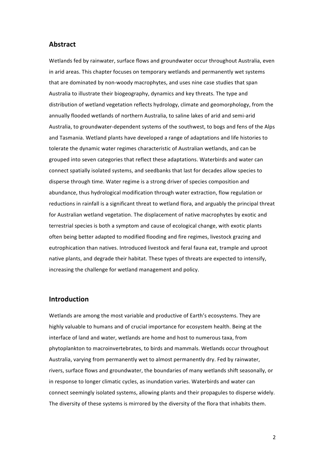# **Abstract**

Wetlands fed by rainwater, surface flows and groundwater occur throughout Australia, even in arid areas. This chapter focuses on temporary wetlands and permanently wet systems that are dominated by non-woody macrophytes, and uses nine case studies that span Australia to illustrate their biogeography, dynamics and key threats. The type and distribution of wetland vegetation reflects hydrology, climate and geomorphology, from the annually flooded wetlands of northern Australia, to saline lakes of arid and semi-arid Australia, to groundwater-dependent systems of the southwest, to bogs and fens of the Alps and Tasmania. Wetland plants have developed a range of adaptations and life histories to tolerate the dynamic water regimes characteristic of Australian wetlands, and can be grouped into seven categories that reflect these adaptations. Waterbirds and water can connect spatially isolated systems, and seedbanks that last for decades allow species to disperse through time. Water regime is a strong driver of species composition and abundance, thus hydrological modification through water extraction, flow regulation or reductions in rainfall is a significant threat to wetland flora, and arguably the principal threat for Australian wetland vegetation. The displacement of native macrophytes by exotic and terrestrial species is both a symptom and cause of ecological change, with exotic plants often being better adapted to modified flooding and fire regimes, livestock grazing and eutrophication than natives. Introduced livestock and feral fauna eat, trample and uproot native plants, and degrade their habitat. These types of threats are expected to intensify, increasing the challenge for wetland management and policy.

# **Introduction**

Wetlands are among the most variable and productive of Earth's ecosystems. They are highly valuable to humans and of crucial importance for ecosystem health. Being at the interface of land and water, wetlands are home and host to numerous taxa, from phytoplankton to macroinvertebrates, to birds and mammals. Wetlands occur throughout Australia, varying from permanently wet to almost permanently dry. Fed by rainwater, rivers, surface flows and groundwater, the boundaries of many wetlands shift seasonally, or in response to longer climatic cycles, as inundation varies. Waterbirds and water can connect seemingly isolated systems, allowing plants and their propagules to disperse widely. The diversity of these systems is mirrored by the diversity of the flora that inhabits them.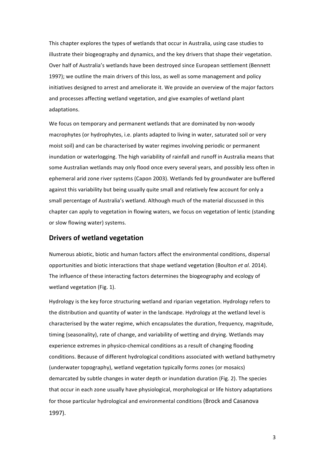This chapter explores the types of wetlands that occur in Australia, using case studies to illustrate their biogeography and dynamics, and the key drivers that shape their vegetation. Over half of Australia's wetlands have been destroyed since European settlement (Bennett 1997); we outline the main drivers of this loss, as well as some management and policy initiatives designed to arrest and ameliorate it. We provide an overview of the major factors and processes affecting wetland vegetation, and give examples of wetland plant adaptations. 

We focus on temporary and permanent wetlands that are dominated by non-woody macrophytes (or hydrophytes, i.e. plants adapted to living in water, saturated soil or very moist soil) and can be characterised by water regimes involving periodic or permanent inundation or waterlogging. The high variability of rainfall and runoff in Australia means that some Australian wetlands may only flood once every several years, and possibly less often in ephemeral arid zone river systems (Capon 2003). Wetlands fed by groundwater are buffered against this variability but being usually quite small and relatively few account for only a small percentage of Australia's wetland. Although much of the material discussed in this chapter can apply to vegetation in flowing waters, we focus on vegetation of lentic (standing or slow flowing water) systems.

# **Drivers of wetland vegetation**

Numerous abiotic, biotic and human factors affect the environmental conditions, dispersal opportunities and biotic interactions that shape wetland vegetation (Boulton *et al.* 2014). The influence of these interacting factors determines the biogeography and ecology of wetland vegetation (Fig. 1).

Hydrology is the key force structuring wetland and riparian vegetation. Hydrology refers to the distribution and quantity of water in the landscape. Hydrology at the wetland level is characterised by the water regime, which encapsulates the duration, frequency, magnitude, timing (seasonality), rate of change, and variability of wetting and drying. Wetlands may experience extremes in physico-chemical conditions as a result of changing flooding conditions. Because of different hydrological conditions associated with wetland bathymetry (underwater topography), wetland vegetation typically forms zones (or mosaics) demarcated by subtle changes in water depth or inundation duration (Fig. 2). The species that occur in each zone usually have physiological, morphological or life history adaptations for those particular hydrological and environmental conditions (Brock and Casanova 1997).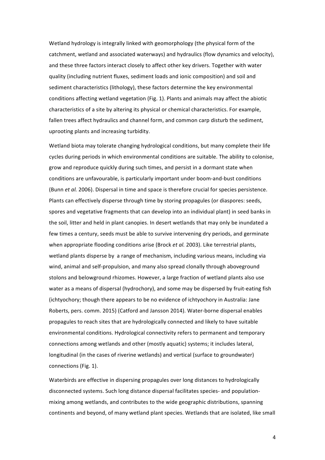Wetland hydrology is integrally linked with geomorphology (the physical form of the catchment, wetland and associated waterways) and hydraulics (flow dynamics and velocity), and these three factors interact closely to affect other key drivers. Together with water quality (including nutrient fluxes, sediment loads and ionic composition) and soil and sediment characteristics (lithology), these factors determine the key environmental conditions affecting wetland vegetation (Fig. 1). Plants and animals may affect the abiotic characteristics of a site by altering its physical or chemical characteristics. For example, fallen trees affect hydraulics and channel form, and common carp disturb the sediment, uprooting plants and increasing turbidity.

Wetland biota may tolerate changing hydrological conditions, but many complete their life cycles during periods in which environmental conditions are suitable. The ability to colonise, grow and reproduce quickly during such times, and persist in a dormant state when conditions are unfavourable, is particularly important under boom-and-bust conditions (Bunn *et al.* 2006). Dispersal in time and space is therefore crucial for species persistence. Plants can effectively disperse through time by storing propagules (or diaspores: seeds, spores and vegetative fragments that can develop into an individual plant) in seed banks in the soil, litter and held in plant canopies. In desert wetlands that may only be inundated a few times a century, seeds must be able to survive intervening dry periods, and germinate when appropriate flooding conditions arise (Brock *et al.* 2003). Like terrestrial plants, wetland plants disperse by a range of mechanism, including various means, including via wind, animal and self-propulsion, and many also spread clonally through aboveground stolons and belowground rhizomes. However, a large fraction of wetland plants also use water as a means of dispersal (hydrochory), and some may be dispersed by fruit-eating fish (ichtyochory; though there appears to be no evidence of ichtyochory in Australia: Jane Roberts, pers. comm. 2015) (Catford and Jansson 2014). Water-borne dispersal enables propagules to reach sites that are hydrologically connected and likely to have suitable environmental conditions. Hydrological connectivity refers to permanent and temporary connections among wetlands and other (mostly aquatic) systems; it includes lateral, longitudinal (in the cases of riverine wetlands) and vertical (surface to groundwater) connections (Fig. 1).

Waterbirds are effective in dispersing propagules over long distances to hydrologically disconnected systems. Such long distance dispersal facilitates species- and populationmixing among wetlands, and contributes to the wide geographic distributions, spanning continents and beyond, of many wetland plant species. Wetlands that are isolated, like small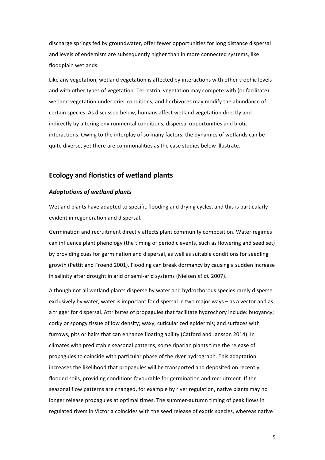discharge springs fed by groundwater, offer fewer opportunities for long distance dispersal and levels of endemism are subsequently higher than in more connected systems, like floodplain wetlands.

Like any vegetation, wetland vegetation is affected by interactions with other trophic levels and with other types of vegetation. Terrestrial vegetation may compete with (or facilitate) wetland vegetation under drier conditions, and herbivores may modify the abundance of certain species. As discussed below, humans affect wetland vegetation directly and indirectly by altering environmental conditions, dispersal opportunities and biotic interactions. Owing to the interplay of so many factors, the dynamics of wetlands can be quite diverse, yet there are commonalities as the case studies below illustrate.

# **Ecology and floristics of wetland plants**

#### Adaptations of wetland plants

Wetland plants have adapted to specific flooding and drying cycles, and this is particularly evident in regeneration and dispersal.

Germination and recruitment directly affects plant community composition. Water regimes can influence plant phenology (the timing of periodic events, such as flowering and seed set) by providing cues for germination and dispersal, as well as suitable conditions for seedling growth (Pettit and Froend 2001). Flooding can break dormancy by causing a sudden increase in salinity after drought in arid or semi-arid systems (Nielsen *et al.* 2007).

Although not all wetland plants disperse by water and hydrochorous species rarely disperse exclusively by water, water is important for dispersal in two major ways  $-$  as a vector and as a trigger for dispersal. Attributes of propagules that facilitate hydrochory include: buoyancy; corky or spongy tissue of low density; waxy, cuticularized epidermis; and surfaces with furrows, pits or hairs that can enhance floating ability (Catford and Jansson 2014). In climates with predictable seasonal patterns, some riparian plants time the release of propagules to coincide with particular phase of the river hydrograph. This adaptation increases the likelihood that propagules will be transported and deposited on recently flooded soils, providing conditions favourable for germination and recruitment. If the seasonal flow patterns are changed, for example by river regulation, native plants may no longer release propagules at optimal times. The summer-autumn timing of peak flows in regulated rivers in Victoria coincides with the seed release of exotic species, whereas native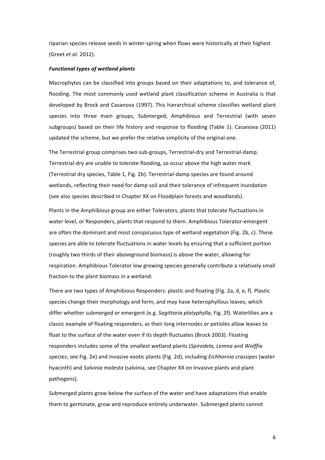riparian species release seeds in winter-spring when flows were historically at their highest (Greet *et al.* 2012).

#### *Functional types of wetland plants*

Macrophytes can be classified into groups based on their adaptations to, and tolerance of, flooding. The most commonly used wetland plant classification scheme in Australia is that developed by Brock and Casanova (1997). This hierarchical scheme classifies wetland plant species into three main groups, Submerged, Amphibious and Terrestrial (with seven subgroups) based on their life history and response to flooding (Table 1). Casanova (2011) updated the scheme, but we prefer the relative simplicity of the original one.

The Terrestrial group comprises two sub-groups, Terrestrial-dry and Terrestrial-damp. Terrestrial-dry are unable to tolerate flooding, so occur above the high water mark (Terrestrial dry species, Table 1, Fig. 2b). Terrestrial-damp species are found around wetlands, reflecting their need for damp soil and their tolerance of infrequent inundation (see also species described in Chapter XX on Floodplain forests and woodlands).

Plants in the Amphibious group are either Tolerators, plants that tolerate fluctuations in water level, or Responders, plants that respond to them. Amphibious Tolerator-emergent are often the dominant and most conspicuous type of wetland vegetation (Fig. 2b, c). These species are able to tolerate fluctuations in water levels by ensuring that a sufficient portion (roughly two thirds of their aboveground biomass) is above the water, allowing for respiration. Amphibious Tolerator low growing species generally contribute a relatively small fraction to the plant biomass in a wetland.

There are two types of Amphibious Responders: plastic and floating (Fig. 2a, d, e, f). Plastic species change their morphology and form, and may have heterophyllous leaves, which differ whether submerged or emergent (e.g. *Sagittaria platyphylla*, Fig. 2f). Waterlilies are a classic example of floating responders, as their long internodes or petioles allow leaves to float to the surface of the water even if its depth fluctuates (Brock 2003). Floating responders includes some of the smallest wetland plants (Spirodela, Lemna and Wolffia species; see Fig. 2e) and invasive exotic plants (Fig. 2d), including *Eichhornia crassipes* (water hyacinth) and *Salvinia molesta* (salvinia, see Chapter XX on Invasive plants and plant pathogens).

Submerged plants grow below the surface of the water and have adaptations that enable them to germinate, grow and reproduce entirely underwater. Submerged plants cannot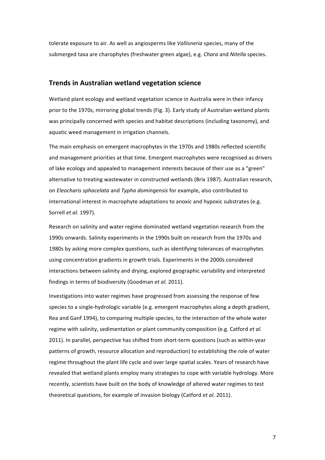tolerate exposure to air. As well as angiosperms like *Vallisneria* species, many of the submerged taxa are charophytes (freshwater green algae), e.g. *Chara* and *Nitella* species.

# **Trends in Australian wetland vegetation science**

Wetland plant ecology and wetland vegetation science in Australia were in their infancy prior to the 1970s, mirroring global trends (Fig. 3). Early study of Australian wetland plants was principally concerned with species and habitat descriptions (including taxonomy), and aquatic weed management in irrigation channels.

The main emphasis on emergent macrophytes in the 1970s and 1980s reflected scientific and management priorities at that time. Emergent macrophytes were recognised as drivers of lake ecology and appealed to management interests because of their use as a "green" alternative to treating wastewater in constructed wetlands (Brix 1987). Australian research, on *Eleocharis sphacelata* and *Typha domingensis* for example, also contributed to international interest in macrophyte adaptations to anoxic and hypoxic substrates (e.g. Sorrell *et al.* 1997).

Research on salinity and water regime dominated wetland vegetation research from the 1990s onwards. Salinity experiments in the 1990s built on research from the 1970s and 1980s by asking more complex questions, such as identifying tolerances of macrophytes using concentration gradients in growth trials. Experiments in the 2000s considered interactions between salinity and drying, explored geographic variability and interpreted findings in terms of biodiversity (Goodman *et al.* 2011).

Investigations into water regimes have progressed from assessing the response of few species to a single-hydrologic variable (e.g. emergent macrophytes along a depth gradient, Rea and Ganf 1994), to comparing multiple species, to the interaction of the whole water regime with salinity, sedimentation or plant community composition (e.g. Catford *et al.* 2011). In parallel, perspective has shifted from short-term questions (such as within-year patterns of growth, resource allocation and reproduction) to establishing the role of water regime throughout the plant life cycle and over large spatial scales. Years of research have revealed that wetland plants employ many strategies to cope with variable hydrology. More recently, scientists have built on the body of knowledge of altered water regimes to test theoretical questions, for example of invasion biology (Catford *et al.* 2011).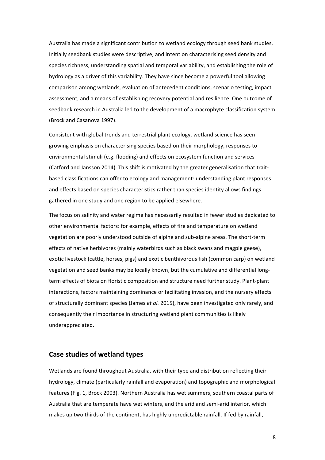Australia has made a significant contribution to wetland ecology through seed bank studies. Initially seedbank studies were descriptive, and intent on characterising seed density and species richness, understanding spatial and temporal variability, and establishing the role of hydrology as a driver of this variability. They have since become a powerful tool allowing comparison among wetlands, evaluation of antecedent conditions, scenario testing, impact assessment, and a means of establishing recovery potential and resilience. One outcome of seedbank research in Australia led to the development of a macrophyte classification system (Brock and Casanova 1997).

Consistent with global trends and terrestrial plant ecology, wetland science has seen growing emphasis on characterising species based on their morphology, responses to environmental stimuli (e.g. flooding) and effects on ecosystem function and services (Catford and Jansson 2014). This shift is motivated by the greater generalisation that traitbased classifications can offer to ecology and management: understanding plant responses and effects based on species characteristics rather than species identity allows findings gathered in one study and one region to be applied elsewhere.

The focus on salinity and water regime has necessarily resulted in fewer studies dedicated to other environmental factors: for example, effects of fire and temperature on wetland vegetation are poorly understood outside of alpine and sub-alpine areas. The short-term effects of native herbivores (mainly waterbirds such as black swans and magpie geese), exotic livestock (cattle, horses, pigs) and exotic benthivorous fish (common carp) on wetland vegetation and seed banks may be locally known, but the cumulative and differential longterm effects of biota on floristic composition and structure need further study. Plant-plant interactions, factors maintaining dominance or facilitating invasion, and the nursery effects of structurally dominant species (James *et al.* 2015), have been investigated only rarely, and consequently their importance in structuring wetland plant communities is likely underappreciated. 

# **Case studies of wetland types**

Wetlands are found throughout Australia, with their type and distribution reflecting their hydrology, climate (particularly rainfall and evaporation) and topographic and morphological features (Fig. 1, Brock 2003). Northern Australia has wet summers, southern coastal parts of Australia that are temperate have wet winters, and the arid and semi-arid interior, which makes up two thirds of the continent, has highly unpredictable rainfall. If fed by rainfall,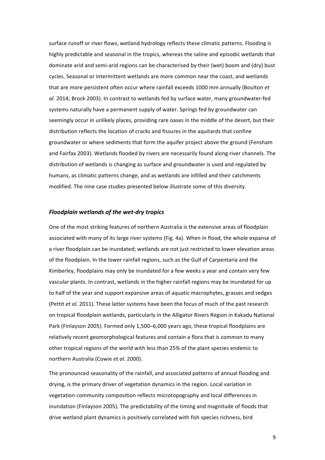surface runoff or river flows, wetland hydrology reflects these climatic patterns. Flooding is highly predictable and seasonal in the tropics, whereas the saline and episodic wetlands that dominate arid and semi-arid regions can be characterised by their (wet) boom and (dry) bust cycles. Seasonal or intermittent wetlands are more common near the coast, and wetlands that are more persistent often occur where rainfall exceeds 1000 mm annually (Boulton *et* al. 2014; Brock 2003). In contrast to wetlands fed by surface water, many groundwater-fed systems naturally have a permanent supply of water. Springs fed by groundwater can seemingly occur in unlikely places, providing rare oases in the middle of the desert, but their distribution reflects the location of cracks and fissures in the aquitards that confine groundwater or where sediments that form the aquifer project above the ground (Fensham and Fairfax 2003). Wetlands flooded by rivers are necessarily found along river channels. The distribution of wetlands is changing as surface and groundwater is used and regulated by humans, as climatic patterns change, and as wetlands are infilled and their catchments modified. The nine case studies presented below illustrate some of this diversity.

# *Floodplain wetlands of the wet-dry tropics*

One of the most striking features of northern Australia is the extensive areas of floodplain associated with many of its large river systems (Fig. 4a). When in flood, the whole expanse of a river floodplain can be inundated; wetlands are not just restricted to lower elevation areas of the floodplain. In the lower rainfall regions, such as the Gulf of Carpentaria and the Kimberley, floodplains may only be inundated for a few weeks a year and contain very few vascular plants. In contrast, wetlands in the higher rainfall regions may be inundated for up to half of the year and support expansive areas of aquatic macrophytes, grasses and sedges (Pettit *et al.* 2011). These latter systems have been the focus of much of the past research on tropical floodplain wetlands, particularly in the Alligator Rivers Region in Kakadu National Park (Finlayson 2005). Formed only 1,500–6,000 years ago, these tropical floodplains are relatively recent geomorphological features and contain a flora that is common to many other tropical regions of the world with less than 25% of the plant species endemic to northern Australia (Cowie et al. 2000).

The pronounced seasonality of the rainfall, and associated patterns of annual flooding and drying, is the primary driver of vegetation dynamics in the region. Local variation in vegetation community composition reflects microtopography and local differences in inundation (Finlayson 2005). The predictability of the timing and magnitude of floods that drive wetland plant dynamics is positively correlated with fish species richness, bird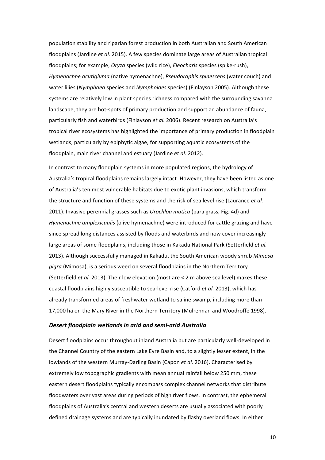population stability and riparian forest production in both Australian and South American floodplains (Jardine *et al.* 2015). A few species dominate large areas of Australian tropical floodplains; for example, *Oryza* species (wild rice), *Eleocharis* species (spike-rush), *Hymenachne acutigluma* (native hymenachne), *Pseudoraphis spinescens* (water couch) and water lilies (*Nymphaea* species and *Nymphoides* species) (Finlayson 2005). Although these systems are relatively low in plant species richness compared with the surrounding savanna landscape, they are hot-spots of primary production and support an abundance of fauna, particularly fish and waterbirds (Finlayson *et al.* 2006). Recent research on Australia's tropical river ecosystems has highlighted the importance of primary production in floodplain wetlands, particularly by epiphytic algae, for supporting aquatic ecosystems of the floodplain, main river channel and estuary (Jardine *et al.* 2012).

In contrast to many floodplain systems in more populated regions, the hydrology of Australia's tropical floodplains remains largely intact. However, they have been listed as one of Australia's ten most vulnerable habitats due to exotic plant invasions, which transform the structure and function of these systems and the risk of sea level rise (Laurance *et al.*) 2011). Invasive perennial grasses such as *Urochloa mutica* (para grass, Fig. 4d) and *Hymenachne amplexicaulis* (olive hymenachne) were introduced for cattle grazing and have since spread long distances assisted by floods and waterbirds and now cover increasingly large areas of some floodplains, including those in Kakadu National Park (Setterfield *et al.*) 2013). Although successfully managed in Kakadu, the South American woody shrub *Mimosa* pigra (Mimosa), is a serious weed on several floodplains in the Northern Territory (Setterfield *et al.* 2013). Their low elevation (most are < 2 m above sea level) makes these coastal floodplains highly susceptible to sea-level rise (Catford *et al.* 2013), which has already transformed areas of freshwater wetland to saline swamp, including more than 17,000 ha on the Mary River in the Northern Territory (Mulrennan and Woodroffe 1998).

#### **Desert floodplain wetlands in arid and semi-arid Australia**

Desert floodplains occur throughout inland Australia but are particularly well-developed in the Channel Country of the eastern Lake Eyre Basin and, to a slightly lesser extent, in the lowlands of the western Murray-Darling Basin (Capon *et al.* 2016). Characterised by extremely low topographic gradients with mean annual rainfall below 250 mm, these eastern desert floodplains typically encompass complex channel networks that distribute floodwaters over vast areas during periods of high river flows. In contrast, the ephemeral floodplains of Australia's central and western deserts are usually associated with poorly defined drainage systems and are typically inundated by flashy overland flows. In either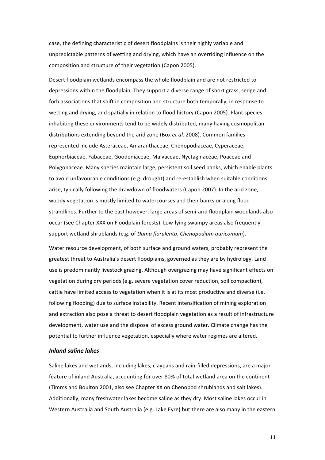case, the defining characteristic of desert floodplains is their highly variable and unpredictable patterns of wetting and drying, which have an overriding influence on the composition and structure of their vegetation (Capon 2005).

Desert floodplain wetlands encompass the whole floodplain and are not restricted to depressions within the floodplain. They support a diverse range of short grass, sedge and forb associations that shift in composition and structure both temporally, in response to wetting and drying, and spatially in relation to flood history (Capon 2005). Plant species inhabiting these environments tend to be widely distributed, many having cosmopolitan distributions extending beyond the arid zone (Box *et al.* 2008). Common families represented include Asteraceae, Amaranthaceae, Chenopodiaceae, Cyperaceae, Euphorbiaceae, Fabaceae, Goodeniaceae, Malvaceae, Nyctaginaceae, Poaceae and Polygonaceae. Many species maintain large, persistent soil seed banks, which enable plants to avoid unfavourable conditions (e.g. drought) and re-establish when suitable conditions arise, typically following the drawdown of floodwaters (Capon 2007). In the arid zone, woody vegetation is mostly limited to watercourses and their banks or along flood strandlines. Further to the east however, large areas of semi-arid floodplain woodlands also occur (see Chapter XXX on Floodplain forests). Low-lying swampy areas also frequently support wetland shrublands (e.g. of *Duma florulenta*, *Chenopodium auricomum*).

Water resource development, of both surface and ground waters, probably represent the greatest threat to Australia's desert floodplains, governed as they are by hydrology. Land use is predominantly livestock grazing. Although overgrazing may have significant effects on vegetation during dry periods (e.g. severe vegetation cover reduction, soil compaction), cattle have limited access to vegetation when it is at its most productive and diverse (i.e. following flooding) due to surface instability. Recent intensification of mining exploration and extraction also pose a threat to desert floodplain vegetation as a result of infrastructure development, water use and the disposal of excess ground water. Climate change has the potential to further influence vegetation, especially where water regimes are altered.

# *Inland saline lakes*

Saline lakes and wetlands, including lakes, claypans and rain-filled depressions, are a major feature of inland Australia, accounting for over 80% of total wetland area on the continent (Timms and Boulton 2001, also see Chapter XX on Chenopod shrublands and salt lakes). Additionally, many freshwater lakes become saline as they dry. Most saline lakes occur in Western Australia and South Australia (e.g. Lake Eyre) but there are also many in the eastern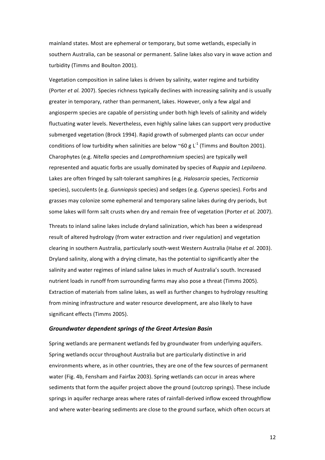mainland states. Most are ephemeral or temporary, but some wetlands, especially in southern Australia, can be seasonal or permanent. Saline lakes also vary in wave action and turbidity (Timms and Boulton 2001).

Vegetation composition in saline lakes is driven by salinity, water regime and turbidity (Porter *et al.* 2007). Species richness typically declines with increasing salinity and is usually greater in temporary, rather than permanent, lakes. However, only a few algal and angiosperm species are capable of persisting under both high levels of salinity and widely fluctuating water levels. Nevertheless, even highly saline lakes can support very productive submerged vegetation (Brock 1994). Rapid growth of submerged plants can occur under conditions of low turbidity when salinities are below ~60 g L<sup>-1</sup> (Timms and Boulton 2001). Charophytes (e.g. *Nitella* species and *Lamprothamnium* species) are typically well represented and aquatic forbs are usually dominated by species of *Ruppia* and *Lepilaena*. Lakes are often fringed by salt-tolerant samphires (e.g. *Halosarcia* species, *Tecticornia* species), succulents (e.g. *Gunniopsis* species) and sedges (e.g. *Cyperus* species). Forbs and grasses may colonize some ephemeral and temporary saline lakes during dry periods, but some lakes will form salt crusts when dry and remain free of vegetation (Porter et al. 2007).

Threats to inland saline lakes include dryland salinization, which has been a widespread result of altered hydrology (from water extraction and river regulation) and vegetation clearing in southern Australia, particularly south-west Western Australia (Halse et al. 2003). Dryland salinity, along with a drying climate, has the potential to significantly alter the salinity and water regimes of inland saline lakes in much of Australia's south. Increased nutrient loads in runoff from surrounding farms may also pose a threat (Timms 2005). Extraction of materials from saline lakes, as well as further changes to hydrology resulting from mining infrastructure and water resource development, are also likely to have significant effects (Timms 2005).

#### *Groundwater dependent springs of the Great Artesian Basin*

Spring wetlands are permanent wetlands fed by groundwater from underlying aquifers. Spring wetlands occur throughout Australia but are particularly distinctive in arid environments where, as in other countries, they are one of the few sources of permanent water (Fig. 4b, Fensham and Fairfax 2003). Spring wetlands can occur in areas where sediments that form the aquifer project above the ground (outcrop springs). These include springs in aquifer recharge areas where rates of rainfall-derived inflow exceed throughflow and where water-bearing sediments are close to the ground surface, which often occurs at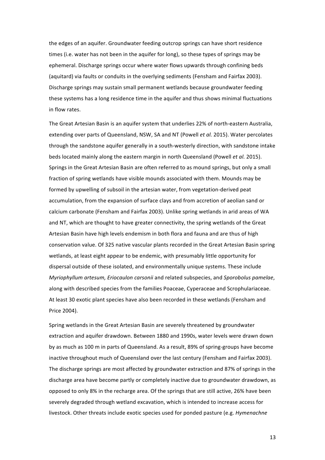the edges of an aquifer. Groundwater feeding outcrop springs can have short residence times (i.e. water has not been in the aquifer for long), so these types of springs may be ephemeral. Discharge springs occur where water flows upwards through confining beds (aquitard) via faults or conduits in the overlying sediments (Fensham and Fairfax 2003). Discharge springs may sustain small permanent wetlands because groundwater feeding these systems has a long residence time in the aquifer and thus shows minimal fluctuations in flow rates.

The Great Artesian Basin is an aquifer system that underlies 22% of north-eastern Australia, extending over parts of Queensland, NSW, SA and NT (Powell *et al.* 2015). Water percolates through the sandstone aquifer generally in a south-westerly direction, with sandstone intake beds located mainly along the eastern margin in north Queensland (Powell *et al.* 2015). Springs in the Great Artesian Basin are often referred to as mound springs, but only a small fraction of spring wetlands have visible mounds associated with them. Mounds may be formed by upwelling of subsoil in the artesian water, from vegetation-derived peat accumulation, from the expansion of surface clays and from accretion of aeolian sand or calcium carbonate (Fensham and Fairfax 2003). Unlike spring wetlands in arid areas of WA and NT, which are thought to have greater connectivity, the spring wetlands of the Great Artesian Basin have high levels endemism in both flora and fauna and are thus of high conservation value. Of 325 native vascular plants recorded in the Great Artesian Basin spring wetlands, at least eight appear to be endemic, with presumably little opportunity for dispersal outside of these isolated, and environmentally unique systems. These include *Myriophyllum artesum, Eriocaulon carsonii* and related subspecies, and *Sporobolus pamelae*, along with described species from the families Poaceae, Cyperaceae and Scrophulariaceae. At least 30 exotic plant species have also been recorded in these wetlands (Fensham and Price 2004). 

Spring wetlands in the Great Artesian Basin are severely threatened by groundwater extraction and aquifer drawdown. Between 1880 and 1990s, water levels were drawn down by as much as 100 m in parts of Queensland. As a result, 89% of spring-groups have become inactive throughout much of Queensland over the last century (Fensham and Fairfax 2003). The discharge springs are most affected by groundwater extraction and 87% of springs in the discharge area have become partly or completely inactive due to groundwater drawdown, as opposed to only 8% in the recharge area. Of the springs that are still active, 26% have been severely degraded through wetland excavation, which is intended to increase access for livestock. Other threats include exotic species used for ponded pasture (e.g. *Hymenachne*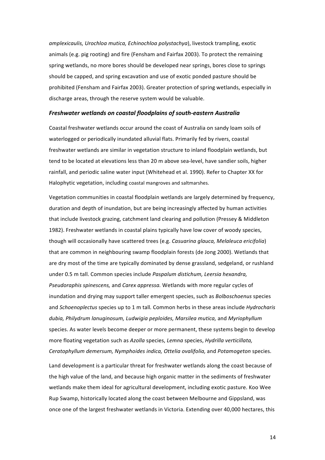*amplexicaulis, Urochloa mutica, Echinochloa polystachya*), livestock trampling, exotic animals (e.g. pig rooting) and fire (Fensham and Fairfax 2003). To protect the remaining spring wetlands, no more bores should be developed near springs, bores close to springs should be capped, and spring excavation and use of exotic ponded pasture should be prohibited (Fensham and Fairfax 2003). Greater protection of spring wetlands, especially in discharge areas, through the reserve system would be valuable.

#### *Freshwater wetlands on coastal floodplains of south-eastern Australia*

Coastal freshwater wetlands occur around the coast of Australia on sandy loam soils of waterlogged or periodically inundated alluvial flats. Primarily fed by rivers, coastal freshwater wetlands are similar in vegetation structure to inland floodplain wetlands, but tend to be located at elevations less than 20 m above sea-level, have sandier soils, higher rainfall, and periodic saline water input (Whitehead et al. 1990). Refer to Chapter XX for Halophytic vegetation, including coastal mangroves and saltmarshes.

Vegetation communities in coastal floodplain wetlands are largely determined by frequency, duration and depth of inundation, but are being increasingly affected by human activities that include livestock grazing, catchment land clearing and pollution (Pressey & Middleton 1982). Freshwater wetlands in coastal plains typically have low cover of woody species, though will occasionally have scattered trees (e.g. *Casuarina glauca, Melaleuca ericifolia*) that are common in neighbouring swamp floodplain forests (de Jong 2000). Wetlands that are dry most of the time are typically dominated by dense grassland, sedgeland, or rushland under 0.5 m tall. Common species include *Paspalum distichum, Leersia hexandra, Pseudoraphis spinescens,* and *Carex appressa.* Wetlands with more regular cycles of inundation and drying may support taller emergent species, such as *Bolboschoenus* species and *Schoenoplectus* species up to 1 m tall. Common herbs in these areas include *Hydrocharis* dubia, Philydrum lanuginosum, Ludwigia peploides, Marsilea mutica, and Myriophyllum species. As water levels become deeper or more permanent, these systems begin to develop more floating vegetation such as *Azolla* species, *Lemna* species, *Hydrilla verticillata*, *Ceratophyllum demersum, Nymphoides indica, Ottelia ovalifolia,* and *Potamogeton* species. 

Land development is a particular threat for freshwater wetlands along the coast because of the high value of the land, and because high organic matter in the sediments of freshwater wetlands make them ideal for agricultural development, including exotic pasture. Koo Wee Rup Swamp, historically located along the coast between Melbourne and Gippsland, was once one of the largest freshwater wetlands in Victoria. Extending over 40,000 hectares, this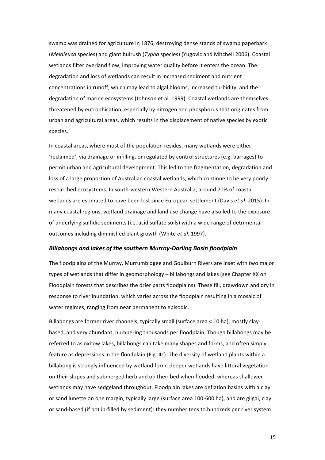swamp was drained for agriculture in 1876, destroying dense stands of swamp paperbark (*Melaleuca* species) and giant bulrush (*Typha* species) (Yugovic and Mitchell 2006). Coastal wetlands filter overland flow, improving water quality before it enters the ocean. The degradation and loss of wetlands can result in increased sediment and nutrient concentrations in runoff, which may lead to algal blooms, increased turbidity, and the degradation of marine ecosystems (Johnson et al. 1999). Coastal wetlands are themselves threatened by eutrophication, especially by nitrogen and phosphorus that originates from urban and agricultural areas, which results in the displacement of native species by exotic species. 

In coastal areas, where most of the population resides, many wetlands were either 'reclaimed', via drainage or infilling, or regulated by control structures (e.g. barrages) to permit urban and agricultural development. This led to the fragmentation, degradation and loss of a large proportion of Australian coastal wetlands, which continue to be very poorly researched ecosystems. In south-western Western Australia, around 70% of coastal wetlands are estimated to have been lost since European settlement (Davis *et al.* 2015). In many coastal regions, wetland drainage and land use change have also led to the exposure of underlying sulfidic sediments (i.e. acid sulfate soils) with a wide range of detrimental outcomes including diminished plant growth (White *et al.* 1997).

# *Billabongs and lakes of the southern Murray-Darling Basin floodplain*

The floodplains of the Murray, Murrumbidgee and Goulburn Rivers are inset with two major types of wetlands that differ in geomorphology – billabongs and lakes (see Chapter XX on Floodplain forests that describes the drier parts floodplains). These fill, drawdown and dry in response to river inundation, which varies across the floodplain resulting in a mosaic of water regimes, ranging from near permanent to episodic.

Billabongs are former river channels, typically small (surface area  $\lt 10$  ha), mostly claybased, and very abundant, numbering thousands per floodplain. Though billabongs may be referred to as oxbow lakes, billabongs can take many shapes and forms, and often simply feature as depressions in the floodplain (Fig. 4c). The diversity of wetland plants within a billabong is strongly influenced by wetland form: deeper wetlands have littoral vegetation on their slopes and submerged herbland on their bed when flooded, whereas shallower wetlands may have sedgeland throughout. Floodplain lakes are deflation basins with a clay or sand lunette on one margin, typically large (surface area 100-600 ha), and are gilgai, clay or sand-based (if not in-filled by sediment): they number tens to hundreds per river system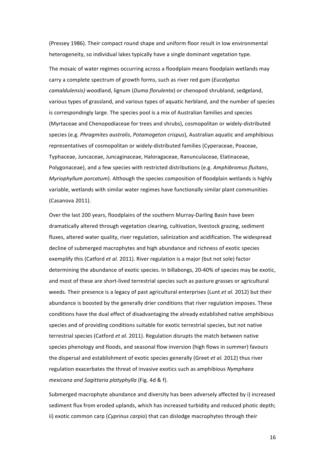(Pressey 1986). Their compact round shape and uniform floor result in low environmental heterogeneity, so individual lakes typically have a single dominant vegetation type.

The mosaic of water regimes occurring across a floodplain means floodplain wetlands may carry a complete spectrum of growth forms, such as river red gum (*Eucalyptus camaldulensis)* woodland, lignum (*Duma florulenta*) or chenopod shrubland, sedgeland, various types of grassland, and various types of aquatic herbland, and the number of species is correspondingly large. The species pool is a mix of Australian families and species (Myrtaceae and Chenopodiaceae for trees and shrubs), cosmopolitan or widely-distributed species (e.g. *Phragmites australis, Potamogeton crispus*), Australian aquatic and amphibious representatives of cosmopolitan or widely-distributed families (Cyperaceae, Poaceae, Typhaceae, Juncaceae, Juncaginaceae, Haloragaceae, Ranunculaceae, Elatinaceae, Polygonaceae), and a few species with restricted distributions (e.g. Amphibromus fluitans, *Myriophyllum porcatum*). Although the species composition of floodplain wetlands is highly variable, wetlands with similar water regimes have functionally similar plant communities (Casanova 2011).

Over the last 200 years, floodplains of the southern Murray-Darling Basin have been dramatically altered through vegetation clearing, cultivation, livestock grazing, sediment fluxes, altered water quality, river regulation, salinization and acidification. The widespread decline of submerged macrophytes and high abundance and richness of exotic species exemplify this (Catford *et al.* 2011). River regulation is a major (but not sole) factor determining the abundance of exotic species. In billabongs, 20-40% of species may be exotic, and most of these are short-lived terrestrial species such as pasture grasses or agricultural weeds. Their presence is a legacy of past agricultural enterprises (Lunt *et al.* 2012) but their abundance is boosted by the generally drier conditions that river regulation imposes. These conditions have the dual effect of disadvantaging the already established native amphibious species and of providing conditions suitable for exotic terrestrial species, but not native terrestrial species (Catford *et al.* 2011). Regulation disrupts the match between native species phenology and floods, and seasonal flow inversion (high flows in summer) favours the dispersal and establishment of exotic species generally (Greet *et al.* 2012) thus river regulation exacerbates the threat of invasive exotics such as amphibious *Nymphaea mexicana and Sagittaria platyphylla* (Fig. 4d & f).

Submerged macrophyte abundance and diversity has been adversely affected by i) increased sediment flux from eroded uplands, which has increased turbidity and reduced photic depth; ii) exotic common carp (*Cyprinus carpio*) that can dislodge macrophytes through their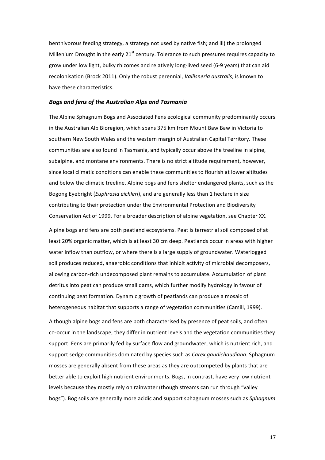benthivorous feeding strategy, a strategy not used by native fish; and iii) the prolonged Millenium Drought in the early  $21^{st}$  century. Tolerance to such pressures requires capacity to grow under low light, bulky rhizomes and relatively long-lived seed (6-9 years) that can aid recolonisation (Brock 2011). Only the robust perennial, *Vallisneria australis*, is known to have these characteristics.

# **Bogs and fens of the Australian Alps and Tasmania**

The Alpine Sphagnum Bogs and Associated Fens ecological community predominantly occurs in the Australian Alp Bioregion, which spans 375 km from Mount Baw Baw in Victoria to southern New South Wales and the western margin of Australian Capital Territory. These communities are also found in Tasmania, and typically occur above the treeline in alpine, subalpine, and montane environments. There is no strict altitude requirement, however, since local climatic conditions can enable these communities to flourish at lower altitudes and below the climatic treeline. Alpine bogs and fens shelter endangered plants, such as the Bogong Eyebright (*Euphrasia eichleri*), and are generally less than 1 hectare in size contributing to their protection under the Environmental Protection and Biodiversity Conservation Act of 1999. For a broader description of alpine vegetation, see Chapter XX.

Alpine bogs and fens are both peatland ecosystems. Peat is terrestrial soil composed of at least 20% organic matter, which is at least 30 cm deep. Peatlands occur in areas with higher water inflow than outflow, or where there is a large supply of groundwater. Waterlogged soil produces reduced, anaerobic conditions that inhibit activity of microbial decomposers, allowing carbon-rich undecomposed plant remains to accumulate. Accumulation of plant detritus into peat can produce small dams, which further modify hydrology in favour of continuing peat formation. Dynamic growth of peatlands can produce a mosaic of heterogeneous habitat that supports a range of vegetation communities (Camill, 1999).

Although alpine bogs and fens are both characterised by presence of peat soils, and often co-occur in the landscape, they differ in nutrient levels and the vegetation communities they support. Fens are primarily fed by surface flow and groundwater, which is nutrient rich, and support sedge communities dominated by species such as *Carex gaudichaudiana*. Sphagnum mosses are generally absent from these areas as they are outcompeted by plants that are better able to exploit high nutrient environments. Bogs, in contrast, have very low nutrient levels because they mostly rely on rainwater (though streams can run through "valley bogs"). Bog soils are generally more acidic and support sphagnum mosses such as *Sphagnum*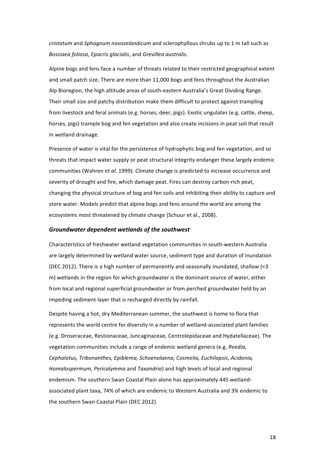*cristatum* and *Sphagnum novozelandicum* and sclerophyllous shrubs up to 1 m tall such as *Bossiaea foliosa*, *Epacris glacialis*, and *Grevillea australis.*

Alpine bogs and fens face a number of threats related to their restricted geographical extent and small patch size. There are more than 11,000 bogs and fens throughout the Australian Alp Bioregion, the high altitude areas of south-eastern Australia's Great Dividing Range. Their small size and patchy distribution make them difficult to protect against trampling from livestock and feral animals (e.g. horses, deer, pigs). Exotic ungulates (e.g. cattle, sheep, horses, pigs) trample bog and fen vegetation and also create incisions in peat soil that result in wetland drainage.

Presence of water is vital for the persistence of hydrophytic bog and fen vegetation, and so threats that impact water supply or peat structural integrity endanger these largely endemic communities (Wahren *et al.* 1999). Climate change is predicted to increase occurrence and severity of drought and fire, which damage peat. Fires can destroy carbon-rich peat, changing the physical structure of bog and fen soils and inhibiting their ability to capture and store water. Models predict that alpine bogs and fens around the world are among the ecosystems most threatened by climate change (Schuur et al., 2008).

# *Groundwater dependent wetlands of the southwest*

Characteristics of freshwater wetland vegetation communities in south-western Australia are largely determined by wetland water source, sediment type and duration of inundation (DEC 2012). There is a high number of permanently and seasonally inundated, shallow  $\leq$ m) wetlands in the region for which groundwater is the dominant source of water, either from local and regional superficial groundwater or from perched groundwater held by an impeding sediment layer that is recharged directly by rainfall.

Despite having a hot, dry Mediterranean summer, the southwest is home to flora that represents the world centre for diversity in a number of wetland-associated plant families (e.g. Droseraceae, Restionaceae, Juncaginaceae, Centrolepidaceae and Hydatellaceae). The vegetation communities include a range of endemic wetland genera (e.g. *Reedia, Cephalotus, Tribonanthes, Epiblema, Schoenolaena, Cosmelia, Euchilopsis, Acidonia, Homalospermum, Pericalymma* and *Taxandria*) and high levels of local and regional endemism. The southern Swan Coastal Plain alone has approximately 445 wetlandassociated plant taxa, 74% of which are endemic to Western Australia and 3% endemic to the southern Swan Coastal Plain (DEC 2012).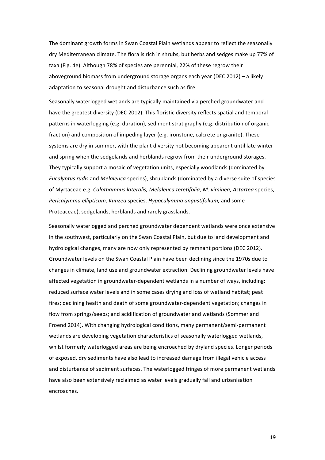The dominant growth forms in Swan Coastal Plain wetlands appear to reflect the seasonally dry Mediterranean climate. The flora is rich in shrubs, but herbs and sedges make up 77% of taxa (Fig. 4e). Although 78% of species are perennial, 22% of these regrow their aboveground biomass from underground storage organs each year (DEC 2012) – a likely adaptation to seasonal drought and disturbance such as fire.

Seasonally waterlogged wetlands are typically maintained via perched groundwater and have the greatest diversity (DEC 2012). This floristic diversity reflects spatial and temporal patterns in waterlogging (e.g. duration), sediment stratigraphy (e.g. distribution of organic fraction) and composition of impeding layer (e.g. ironstone, calcrete or granite). These systems are dry in summer, with the plant diversity not becoming apparent until late winter and spring when the sedgelands and herblands regrow from their underground storages. They typically support a mosaic of vegetation units, especially woodlands (dominated by *Eucalyptus rudis* and *Melaleuca* species), shrublands (dominated by a diverse suite of species of Myrtaceae e.g. *Calothamnus lateralis, Melaleuca teretifolia, M. viminea, Astartea* species, *Pericalymma ellipticum, Kunzea* species, *Hypocalymma angustifolium*, and some Proteaceae), sedgelands, herblands and rarely grasslands.

Seasonally waterlogged and perched groundwater dependent wetlands were once extensive in the southwest, particularly on the Swan Coastal Plain, but due to land development and hydrological changes, many are now only represented by remnant portions (DEC 2012). Groundwater levels on the Swan Coastal Plain have been declining since the 1970s due to changes in climate, land use and groundwater extraction. Declining groundwater levels have affected vegetation in groundwater-dependent wetlands in a number of ways, including: reduced surface water levels and in some cases drying and loss of wetland habitat; peat fires; declining health and death of some groundwater-dependent vegetation; changes in flow from springs/seeps; and acidification of groundwater and wetlands (Sommer and Froend 2014). With changing hydrological conditions, many permanent/semi-permanent wetlands are developing vegetation characteristics of seasonally waterlogged wetlands, whilst formerly waterlogged areas are being encroached by dryland species. Longer periods of exposed, dry sediments have also lead to increased damage from illegal vehicle access and disturbance of sediment surfaces. The waterlogged fringes of more permanent wetlands have also been extensively reclaimed as water levels gradually fall and urbanisation encroaches.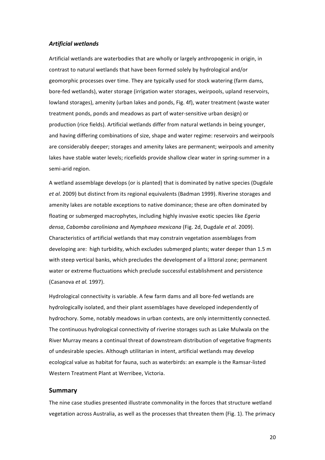# *Artificial wetlands*

Artificial wetlands are waterbodies that are wholly or largely anthropogenic in origin, in contrast to natural wetlands that have been formed solely by hydrological and/or geomorphic processes over time. They are typically used for stock watering (farm dams, bore-fed wetlands), water storage (irrigation water storages, weirpools, upland reservoirs, lowland storages), amenity (urban lakes and ponds, Fig. 4f), water treatment (waste water treatment ponds, ponds and meadows as part of water-sensitive urban design) or production (rice fields). Artificial wetlands differ from natural wetlands in being younger, and having differing combinations of size, shape and water regime: reservoirs and weirpools are considerably deeper; storages and amenity lakes are permanent; weirpools and amenity lakes have stable water levels; ricefields provide shallow clear water in spring-summer in a semi-arid region.

A wetland assemblage develops (or is planted) that is dominated by native species (Dugdale et al. 2009) but distinct from its regional equivalents (Badman 1999). Riverine storages and amenity lakes are notable exceptions to native dominance; these are often dominated by floating or submerged macrophytes, including highly invasive exotic species like *Egeria densa*, *Cabomba caroliniana* and *Nymphaea mexicana* (Fig. 2d, Dugdale *et al.* 2009). Characteristics of artificial wetlands that may constrain vegetation assemblages from developing are: high turbidity, which excludes submerged plants; water deeper than 1.5 m with steep vertical banks, which precludes the development of a littoral zone; permanent water or extreme fluctuations which preclude successful establishment and persistence (Casanova *et al.* 1997).

Hydrological connectivity is variable. A few farm dams and all bore-fed wetlands are hydrologically isolated, and their plant assemblages have developed independently of hydrochory. Some, notably meadows in urban contexts, are only intermittently connected. The continuous hydrological connectivity of riverine storages such as Lake Mulwala on the River Murray means a continual threat of downstream distribution of vegetative fragments of undesirable species. Although utilitarian in intent, artificial wetlands may develop ecological value as habitat for fauna, such as waterbirds: an example is the Ramsar-listed Western Treatment Plant at Werribee, Victoria.

#### **Summary**

The nine case studies presented illustrate commonality in the forces that structure wetland vegetation across Australia, as well as the processes that threaten them (Fig. 1). The primacy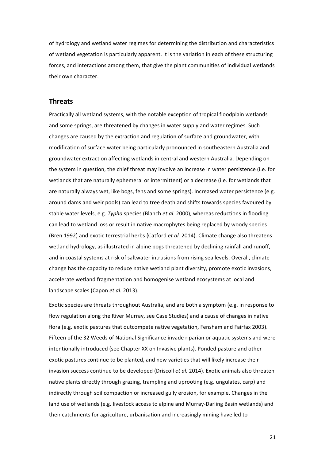of hydrology and wetland water regimes for determining the distribution and characteristics of wetland vegetation is particularly apparent. It is the variation in each of these structuring forces, and interactions among them, that give the plant communities of individual wetlands their own character.

# **Threats**

Practically all wetland systems, with the notable exception of tropical floodplain wetlands and some springs, are threatened by changes in water supply and water regimes. Such changes are caused by the extraction and regulation of surface and groundwater, with modification of surface water being particularly pronounced in southeastern Australia and groundwater extraction affecting wetlands in central and western Australia. Depending on the system in question, the chief threat may involve an increase in water persistence (i.e. for wetlands that are naturally ephemeral or intermittent) or a decrease (i.e. for wetlands that are naturally always wet, like bogs, fens and some springs). Increased water persistence (e.g. around dams and weir pools) can lead to tree death and shifts towards species favoured by stable water levels, e.g. *Typha* species (Blanch *et al.* 2000), whereas reductions in flooding can lead to wetland loss or result in native macrophytes being replaced by woody species (Bren 1992) and exotic terrestrial herbs (Catford *et al.* 2014). Climate change also threatens wetland hydrology, as illustrated in alpine bogs threatened by declining rainfall and runoff, and in coastal systems at risk of saltwater intrusions from rising sea levels. Overall, climate change has the capacity to reduce native wetland plant diversity, promote exotic invasions, accelerate wetland fragmentation and homogenise wetland ecosystems at local and landscape scales (Capon *et al.* 2013).

Exotic species are threats throughout Australia, and are both a symptom (e.g. in response to flow regulation along the River Murray, see Case Studies) and a cause of changes in native flora (e.g. exotic pastures that outcompete native vegetation, Fensham and Fairfax 2003). Fifteen of the 32 Weeds of National Significance invade riparian or aquatic systems and were intentionally introduced (see Chapter XX on Invasive plants). Ponded pasture and other exotic pastures continue to be planted, and new varieties that will likely increase their invasion success continue to be developed (Driscoll *et al.* 2014). Exotic animals also threaten native plants directly through grazing, trampling and uprooting (e.g. ungulates, carp) and indirectly through soil compaction or increased gully erosion, for example. Changes in the land use of wetlands (e.g. livestock access to alpine and Murray-Darling Basin wetlands) and their catchments for agriculture, urbanisation and increasingly mining have led to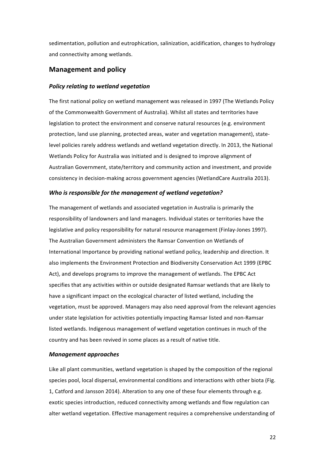sedimentation, pollution and eutrophication, salinization, acidification, changes to hydrology and connectivity among wetlands.

# **Management and policy**

#### *Policy relating to wetland vegetation*

The first national policy on wetland management was released in 1997 (The Wetlands Policy of the Commonwealth Government of Australia). Whilst all states and territories have legislation to protect the environment and conserve natural resources (e.g. environment protection, land use planning, protected areas, water and vegetation management), statelevel policies rarely address wetlands and wetland vegetation directly. In 2013, the National Wetlands Policy for Australia was initiated and is designed to improve alignment of Australian Government, state/territory and community action and investment, and provide consistency in decision-making across government agencies (WetlandCare Australia 2013).

#### *Who is responsible for the management of wetland vegetation?*

The management of wetlands and associated vegetation in Australia is primarily the responsibility of landowners and land managers. Individual states or territories have the legislative and policy responsibility for natural resource management (Finlay-Jones 1997). The Australian Government administers the Ramsar Convention on Wetlands of International Importance by providing national wetland policy, leadership and direction. It also implements the Environment Protection and Biodiversity Conservation Act 1999 (EPBC Act), and develops programs to improve the management of wetlands. The EPBC Act specifies that any activities within or outside designated Ramsar wetlands that are likely to have a significant impact on the ecological character of listed wetland, including the vegetation, must be approved. Managers may also need approval from the relevant agencies under state legislation for activities potentially impacting Ramsar listed and non-Ramsar listed wetlands. Indigenous management of wetland vegetation continues in much of the country and has been revived in some places as a result of native title.

#### *Management approaches*

Like all plant communities, wetland vegetation is shaped by the composition of the regional species pool, local dispersal, environmental conditions and interactions with other biota (Fig. 1, Catford and Jansson 2014). Alteration to any one of these four elements through e.g. exotic species introduction, reduced connectivity among wetlands and flow regulation can alter wetland vegetation. Effective management requires a comprehensive understanding of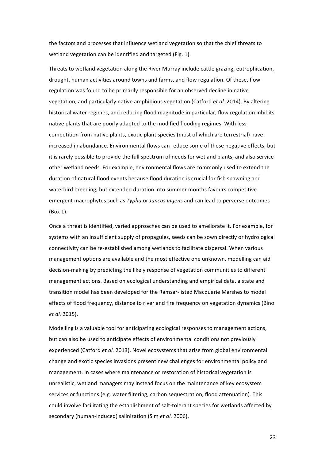the factors and processes that influence wetland vegetation so that the chief threats to wetland vegetation can be identified and targeted (Fig. 1).

Threats to wetland vegetation along the River Murray include cattle grazing, eutrophication, drought, human activities around towns and farms, and flow regulation. Of these, flow regulation was found to be primarily responsible for an observed decline in native vegetation, and particularly native amphibious vegetation (Catford *et al.* 2014). By altering historical water regimes, and reducing flood magnitude in particular, flow regulation inhibits native plants that are poorly adapted to the modified flooding regimes. With less competition from native plants, exotic plant species (most of which are terrestrial) have increased in abundance. Environmental flows can reduce some of these negative effects, but it is rarely possible to provide the full spectrum of needs for wetland plants, and also service other wetland needs. For example, environmental flows are commonly used to extend the duration of natural flood events because flood duration is crucial for fish spawning and waterbird breeding, but extended duration into summer months favours competitive emergent macrophytes such as *Typha* or *Juncus ingens* and can lead to perverse outcomes (Box 1). 

Once a threat is identified, varied approaches can be used to ameliorate it. For example, for systems with an insufficient supply of propagules, seeds can be sown directly or hydrological connectivity can be re-established among wetlands to facilitate dispersal. When various management options are available and the most effective one unknown, modelling can aid decision-making by predicting the likely response of vegetation communities to different management actions. Based on ecological understanding and empirical data, a state and transition model has been developed for the Ramsar-listed Macquarie Marshes to model effects of flood frequency, distance to river and fire frequency on vegetation dynamics (Bino *et al.* 2015).

Modelling is a valuable tool for anticipating ecological responses to management actions, but can also be used to anticipate effects of environmental conditions not previously experienced (Catford *et al.* 2013). Novel ecosystems that arise from global environmental change and exotic species invasions present new challenges for environmental policy and management. In cases where maintenance or restoration of historical vegetation is unrealistic, wetland managers may instead focus on the maintenance of key ecosystem services or functions (e.g. water filtering, carbon sequestration, flood attenuation). This could involve facilitating the establishment of salt-tolerant species for wetlands affected by secondary (human-induced) salinization (Sim *et al.* 2006).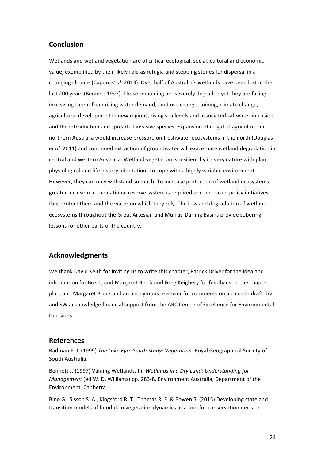# **Conclusion**

Wetlands and wetland vegetation are of critical ecological, social, cultural and economic value, exemplified by their likely role as refugia and stepping stones for dispersal in a changing climate (Capon *et al.* 2013). Over half of Australia's wetlands have been lost in the last 200 years (Bennett 1997). Those remaining are severely degraded yet they are facing increasing threat from rising water demand, land use change, mining, climate change, agricultural development in new regions, rising sea levels and associated saltwater intrusion, and the introduction and spread of invasive species. Expansion of irrigated agriculture in northern Australia would increase pressure on freshwater ecosystems in the north (Douglas *et al.* 2011) and continued extraction of groundwater will exacerbate wetland degradation in central and western Australia. Wetland vegetation is resilient by its very nature with plant physiological and life history adaptations to cope with a highly variable environment. However, they can only withstand so much. To increase protection of wetland ecosystems, greater inclusion in the national reserve system is required and increased policy initiatives that protect them and the water on which they rely. The loss and degradation of wetland ecosystems throughout the Great Artesian and Murray-Darling Basins provide sobering lessons for other parts of the country.

# **Acknowledgments**

We thank David Keith for inviting us to write this chapter, Patrick Driver for the idea and information for Box 1, and Margaret Brock and Greg Keighery for feedback on the chapter plan, and Margaret Brock and an anonymous reviewer for comments on a chapter draft. JAC and SW acknowledge financial support from the ARC Centre of Excellence for Environmental Decisions. 

# **References**

Badman F. J. (1999) *The Lake Eyre South Study: Vegetation*. Royal Geographical Society of South Australia.

Bennett J. (1997) Valuing Wetlands. In: Wetlands in a Dry Land: Understanding for *Management* (ed W. D. Williams) pp. 283-8. Environment Australia, Department of the Environment, Canberra.

Bino G., Sisson S. A., Kingsford R. T., Thomas R. F. & Bowen S. (2015) Developing state and transition models of floodplain vegetation dynamics as a tool for conservation decision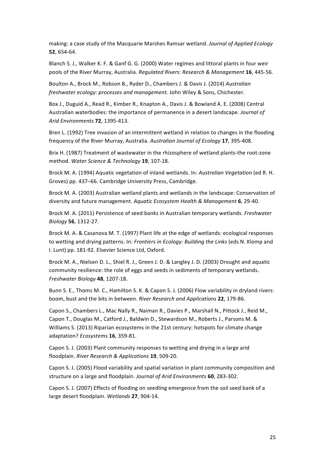making: a case study of the Macquarie Marshes Ramsar wetland. *Journal of Applied Ecology* **52**, 654-64.

Blanch S. J., Walker K. F. & Ganf G. G. (2000) Water regimes and littoral plants in four weir pools of the River Murray, Australia. Regulated Rivers: Research & Management 16, 445-56.

Boulton A., Brock M., Robson B., Ryder D., Chambers J. & Davis J. (2014) *Australian freshwater ecology: processes and management. John Wiley & Sons, Chichester.* 

Box J., Duguid A., Read R., Kimber R., Knapton A., Davis J. & Bowland A. E. (2008) Central Australian waterbodies: the importance of permanence in a desert landscape. *Journal of Arid Environments* **72**, 1395-413.

Bren L. (1992) Tree invasion of an intermittent wetland in relation to changes in the flooding frequency of the River Murray, Australia. *Australian Journal of Ecology* 17, 395-408.

Brix H. (1987) Treatment of wastewater in the rhizosphere of wetland plants-the root-zone method. Water Science & Technology **19**, 107-18.

Brock M. A. (1994) Aquatic vegetation of inland wetlands. In: *Australian Vegetation* (ed R. H. Groves) pp. 437–66. Cambridge University Press, Cambridge.

Brock M. A. (2003) Australian wetland plants and wetlands in the landscape: Conservation of diversity and future management. *Aquatic Ecosystem Health & Management* **6**, 29-40.

Brock M. A. (2011) Persistence of seed banks in Australian temporary wetlands. *Freshwater Biology* **56**, 1312-27.

Brock M. A. & Casanova M. T. (1997) Plant life at the edge of wetlands: ecological responses to wetting and drying patterns. In: Frontiers in Ecology: Building the Links (eds N. Klomp and I. Lunt) pp. 181-92. Elsevier Science Ltd, Oxford.

Brock M. A., Nielsen D. L., Shiel R. J., Green J. D. & Langley J. D. (2003) Drought and aquatic community resilience: the role of eggs and seeds in sediments of temporary wetlands. *Freshwater Biology* **48**, 1207-18.

Bunn S. E., Thoms M. C., Hamilton S. K. & Capon S. J. (2006) Flow variability in dryland rivers: boom, bust and the bits in between. *River Research and Applications* 22, 179-86.

Capon S., Chambers L., Mac Nally R., Naiman R., Davies P., Marshall N., Pittock J., Reid M., Capon T., Douglas M., Catford J., Baldwin D., Stewardson M., Roberts J., Parsons M. & Williams S. (2013) Riparian ecosystems in the 21st century: hotspots for climate change adaptation? *Ecosystems* **16**, 359-81.

Capon S. J. (2003) Plant community responses to wetting and drying in a large arid floodplain. *River Research & Applications* **19**, 509-20.

Capon S. J. (2005) Flood variability and spatial variation in plant community composition and structure on a large and floodplain. Journal of Arid Environments **60**, 283-302.

Capon S. J. (2007) Effects of flooding on seedling emergence from the soil seed bank of a large desert floodplain. Wetlands 27, 904-14.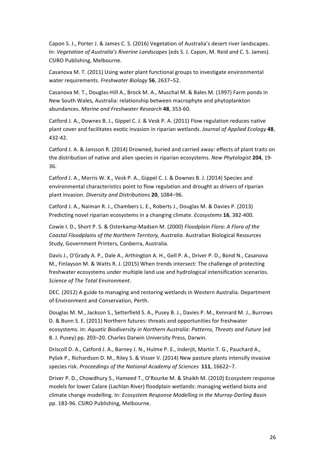Capon S. J., Porter J. & James C. S. (2016) Vegetation of Australia's desert river landscapes. In: Vegetation of Australia's Riverine Landscapes (eds S. J. Capon, M. Reid and C. S. James). CSIRO Publishing, Melbourne.

Casanova M. T. (2011) Using water plant functional groups to investigate environmental water requirements. Freshwater Biology 56, 2637-52.

Casanova M. T., Douglas-Hill A., Brock M. A., Muschal M. & Bales M. (1997) Farm ponds in New South Wales, Australia: relationship between macrophyte and phytoplankton abundances. *Marine and Freshwater Research* **48**, 353-60.

Catford J. A., Downes B. J., Gippel C. J. & Vesk P. A. (2011) Flow regulation reduces native plant cover and facilitates exotic invasion in riparian wetlands. *Journal of Applied Ecology* 48, 432-42.

Catford J. A. & Jansson R. (2014) Drowned, buried and carried away: effects of plant traits on the distribution of native and alien species in riparian ecosystems. New Phytologist 204, 19-36.

Catford J. A., Morris W. K., Vesk P. A., Gippel C. J. & Downes B. J. (2014) Species and environmental characteristics point to flow regulation and drought as drivers of riparian plant invasion. *Diversity and Distributions* **20**, 1084–96.

Catford J. A., Naiman R. J., Chambers L. E., Roberts J., Douglas M. & Davies P. (2013) Predicting novel riparian ecosystems in a changing climate. *Ecosystems* 16, 382-400.

Cowie I. D., Short P. S. & Osterkamp-Madsen M. (2000) *Floodplain Flora: A Flora of the* Coastal Floodplains of the Northern Territory, Australia. Australian Biological Resources Study, Government Printers, Canberra, Australia.

Davis J., O'Grady A. P., Dale A., Arthington A. H., Gell P. A., Driver P. D., Bond N., Casanova M., Finlayson M. & Watts R. J. (2015) When trends intersect: The challenge of protecting freshwater ecosystems under multiple land use and hydrological intensification scenarios. *Science of The Total Environment*.

DEC. (2012) A guide to managing and restoring wetlands in Western Australia. Department of Environment and Conservation, Perth.

Douglas M. M., Jackson S., Setterfield S. A., Pusey B. J., Davies P. M., Kennard M. J., Burrows D. & Bunn S. E. (2011) Northern futures: threats and opportunities for freshwater ecosystems. In: *Aquatic Biodiversity in Northern Australia: Patterns, Threats and Future* (ed B. J. Pusey) pp. 203-20. Charles Darwin University Press, Darwin.

Driscoll D. A., Catford J. A., Barney J. N., Hulme P. E., Inderjit, Martin T. G., Pauchard A., Pyšek P., Richardson D. M., Riley S. & Visser V. (2014) New pasture plants intensify invasive species risk. Proceedings of the National Academy of Sciences 111, 16622-7.

Driver P. D., Chowdhury S., Hameed T., O'Rourke M. & Shaikh M. (2010) Ecosystem response models for lower Calare (Lachlan River) floodplain wetlands: managing wetland biota and climate change modelling. In: *Ecosystem Response Modelling in the Murray-Darling Basin* pp. 183-96. CSIRO Publishing, Melbourne.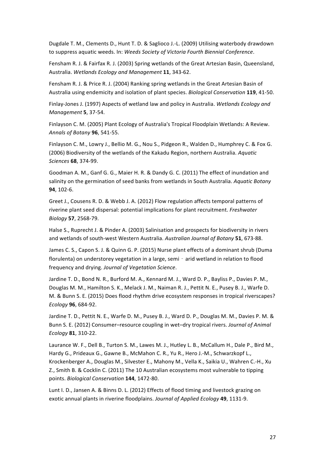Dugdale T. M., Clements D., Hunt T. D. & Saglioco J.-L. (2009) Utilising waterbody drawdown to suppress aquatic weeds. In: *Weeds Society of Victoria Fourth Biennial Conference*.

Fensham R. J. & Fairfax R. J. (2003) Spring wetlands of the Great Artesian Basin, Queensland, Australia. *Wetlands Ecology and Management* **11**, 343-62.

Fensham R. J. & Price R. J. (2004) Ranking spring wetlands in the Great Artesian Basin of Australia using endemicity and isolation of plant species. *Biological Conservation* 119, 41-50.

Finlay-Jones J. (1997) Aspects of wetland law and policy in Australia. Wetlands Ecology and *Management* **5**, 37-54.

Finlayson C. M. (2005) Plant Ecology of Australia's Tropical Floodplain Wetlands: A Review. *Annals of Botany* **96**, 541-55.

Finlayson C. M., Lowry J., Bellio M. G., Nou S., Pidgeon R., Walden D., Humphrey C. & Fox G. (2006) Biodiversity of the wetlands of the Kakadu Region, northern Australia. Aquatic *Sciences* **68**, 374-99.

Goodman A. M., Ganf G. G., Maier H. R. & Dandy G. C. (2011) The effect of inundation and salinity on the germination of seed banks from wetlands in South Australia. Aquatic Botany **94**, 102-6.

Greet J., Cousens R. D. & Webb J. A. (2012) Flow regulation affects temporal patterns of riverine plant seed dispersal: potential implications for plant recruitment. *Freshwater Biology* **57**, 2568-79.

Halse S., Ruprecht J. & Pinder A. (2003) Salinisation and prospects for biodiversity in rivers and wetlands of south-west Western Australia. Australian Journal of Botany 51, 673-88.

James C. S., Capon S. J. & Quinn G. P. (2015) Nurse plant effects of a dominant shrub (Duma florulenta) on understorey vegetation in a large, semi - arid wetland in relation to flood frequency and drying. *Journal of Vegetation Science*.

Jardine T. D., Bond N. R., Burford M. A., Kennard M. J., Ward D. P., Bavliss P., Davies P. M., Douglas M. M., Hamilton S. K., Melack J. M., Naiman R. J., Pettit N. E., Pusey B. J., Warfe D. M. & Bunn S. E. (2015) Does flood rhythm drive ecosystem responses in tropical riverscapes? *Ecology* **96**, 684-92.

Jardine T. D., Pettit N. E., Warfe D. M., Pusey B. J., Ward D. P., Douglas M. M., Davies P. M. & Bunn S. E. (2012) Consumer–resource coupling in wet–dry tropical rivers. *Journal of Animal Ecology* **81**, 310-22.

Laurance W. F., Dell B., Turton S. M., Lawes M. J., Hutley L. B., McCallum H., Dale P., Bird M., Hardy G., Prideaux G., Gawne B., McMahon C. R., Yu R., Hero J.-M., Schwarzkopf L., Krockenberger A., Douglas M., Silvester E., Mahony M., Vella K., Saikia U., Wahren C.-H., Xu Z., Smith B. & Cocklin C. (2011) The 10 Australian ecosystems most vulnerable to tipping points. *Biological Conservation* **144**, 1472-80.

Lunt I. D., Jansen A. & Binns D. L. (2012) Effects of flood timing and livestock grazing on exotic annual plants in riverine floodplains. *Journal of Applied Ecology* 49, 1131-9.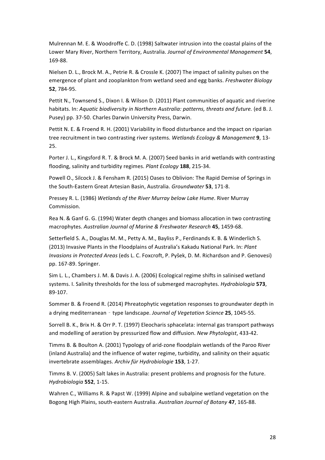Mulrennan M. E. & Woodroffe C. D. (1998) Saltwater intrusion into the coastal plains of the Lower Mary River, Northern Territory, Australia. Journal of Environmental Management 54, 169-88.

Nielsen D. L., Brock M. A., Petrie R. & Crossle K. (2007) The impact of salinity pulses on the emergence of plant and zooplankton from wetland seed and egg banks. *Freshwater Biology* **52**, 784-95.

Pettit N., Townsend S., Dixon I. & Wilson D. (2011) Plant communities of aquatic and riverine habitats. In: *Aquatic biodiversity in Northern Australia: patterns, threats and future.* (ed B. J. Pusey) pp. 37-50. Charles Darwin University Press, Darwin.

Pettit N. E. & Froend R. H. (2001) Variability in flood disturbance and the impact on riparian tree recruitment in two contrasting river systems. Wetlands Ecology & Management 9, 13-25.

Porter J. L., Kingsford R. T. & Brock M. A. (2007) Seed banks in arid wetlands with contrasting flooding, salinity and turbidity regimes. *Plant Ecology* 188, 215-34.

Powell O., Silcock J. & Fensham R. (2015) Oases to Oblivion: The Rapid Demise of Springs in the South-Eastern Great Artesian Basin, Australia. *Groundwater* 53, 171-8.

Pressey R. L. (1986) Wetlands of the River Murray below Lake Hume. River Murray Commission.

Rea N. & Ganf G. G. (1994) Water depth changes and biomass allocation in two contrasting macrophytes. *Australian Journal of Marine & Freshwater Research* **45**, 1459-68.

Setterfield S. A., Douglas M. M., Petty A. M., Bayliss P., Ferdinands K. B. & Winderlich S. (2013) Invasive Plants in the Floodplains of Australia's Kakadu National Park. In: *Plant Invasions in Protected Areas* (eds L. C. Foxcroft, P. Pyšek, D. M. Richardson and P. Genovesi) pp. 167-89. Springer.

Sim L. L., Chambers J. M. & Davis J. A. (2006) Ecological regime shifts in salinised wetland systems. I. Salinity thresholds for the loss of submerged macrophytes. *Hydrobiologia* 573, 89-107.

Sommer B. & Froend R. (2014) Phreatophytic vegetation responses to groundwater depth in a drying mediterranean - type landscape. *Journal of Vegetation Science* 25, 1045-55.

Sorrell B. K., Brix H. & Orr P. T. (1997) Eleocharis sphacelata: internal gas transport pathways and modelling of aeration by pressurized flow and diffusion. *New Phytologist*, 433-42.

Timms B. & Boulton A. (2001) Typology of arid-zone floodplain wetlands of the Paroo River (inland Australia) and the influence of water regime, turbidity, and salinity on their aquatic invertebrate assemblages. *Archiv für Hydrobiologie* **153**, 1-27.

Timms B. V. (2005) Salt lakes in Australia: present problems and prognosis for the future. *Hydrobiologia* **552**, 1-15.

Wahren C., Williams R. & Papst W. (1999) Alpine and subalpine wetland vegetation on the Bogong High Plains, south-eastern Australia. Australian Journal of Botany 47, 165-88.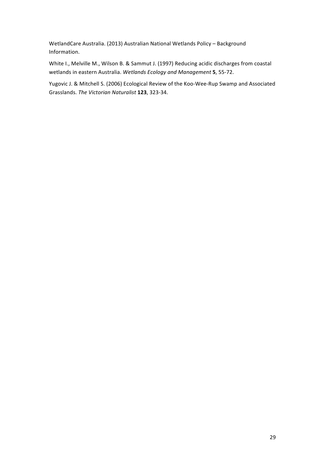WetlandCare Australia. (2013) Australian National Wetlands Policy - Background Information.

White I., Melville M., Wilson B. & Sammut J. (1997) Reducing acidic discharges from coastal wetlands in eastern Australia. Wetlands Ecology and Management **5**, 55-72.

Yugovic J. & Mitchell S. (2006) Ecological Review of the Koo-Wee-Rup Swamp and Associated Grasslands. *The Victorian Naturalist* **123**, 323-34.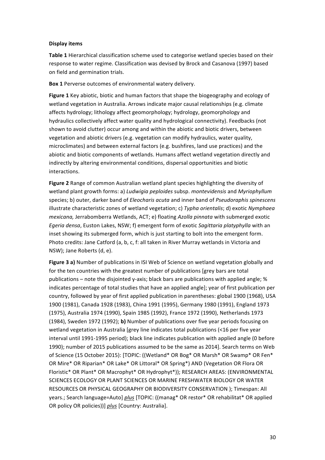# **Display items**

**Table 1** Hierarchical classification scheme used to categorise wetland species based on their response to water regime. Classification was devised by Brock and Casanova (1997) based on field and germination trials.

**Box 1** Perverse outcomes of environmental watery delivery.

**Figure 1** Key abiotic, biotic and human factors that shape the biogeography and ecology of wetland vegetation in Australia. Arrows indicate major causal relationships (e.g. climate affects hydrology; lithology affect geomorphology; hydrology, geomorphology and hydraulics collectively affect water quality and hydrological connectivity). Feedbacks (not shown to avoid clutter) occur among and within the abiotic and biotic drivers, between vegetation and abiotic drivers (e.g. vegetation can modify hydraulics, water quality, microclimates) and between external factors (e.g. bushfires, land use practices) and the abiotic and biotic components of wetlands. Humans affect wetland vegetation directly and indirectly by altering environmental conditions, dispersal opportunities and biotic interactions. 

**Figure 2** Range of common Australian wetland plant species highlighting the diversity of wetland plant growth forms: a) *Ludwigia peploides* subsp. *montevidensis* and *Myriophyllum* species; b) outer, darker band of *Eleocharis acuta* and inner band of *Pseudoraphis spinescens* illustrate characteristic zones of wetland vegetation; c) *Typha orientalis*; d) exotic *Nymphaea mexicana*, Jerrabomberra Wetlands, ACT; e) floating *Azolla pinnata* with submerged exotic *Egeria densa*, Euston Lakes, NSW; f) emergent form of exotic *Sagittaria platyphylla* with an inset showing its submerged form, which is just starting to bolt into the emergent form. Photo credits: Jane Catford (a, b, c, f: all taken in River Murray wetlands in Victoria and NSW); Jane Roberts (d, e).

Figure 3 a) Number of publications in ISI Web of Science on wetland vegetation globally and for the ten countries with the greatest number of publications [grey bars are total publications – note the disiointed v-axis; black bars are publications with applied angle;  $%$ indicates percentage of total studies that have an applied angle]; year of first publication per country, followed by year of first applied publication in parentheses: global 1900 (1968), USA 1900 (1981), Canada 1928 (1983), China 1991 (1995), Germany 1980 (1991), England 1973 (1975), Australia 1974 (1990), Spain 1985 (1992), France 1972 (1990), Netherlands 1973 (1984), Sweden 1972 (1992); **b)** Number of publications over five year periods focusing on wetland vegetation in Australia [grey line indicates total publications (<16 per five year interval until 1991-1995 period); black line indicates publication with applied angle (0 before 1990); number of 2015 publications assumed to be the same as 2014]. Search terms on Web of Science (15 October 2015): [TOPIC: ((Wetland\* OR Bog\* OR Marsh\* OR Swamp\* OR Fen\* OR Mire\* OR Riparian\* OR Lake\* OR Littoral\* OR Spring\*) AND (Vegetation OR Flora OR Floristic\* OR Plant\* OR Macrophyt\* OR Hydrophyt\*)); RESEARCH AREAS: (ENVIRONMENTAL SCIENCES ECOLOGY OR PLANT SCIENCES OR MARINE FRESHWATER BIOLOGY OR WATER RESOURCES OR PHYSICAL GEOGRAPHY OR BIODIVERSITY CONSERVATION ); Timespan: All years.; Search language=Auto] *plus* [TOPIC: ((manag\* OR restor\* OR rehabilitat\* OR applied OR policy OR policies))] plus [Country: Australia].